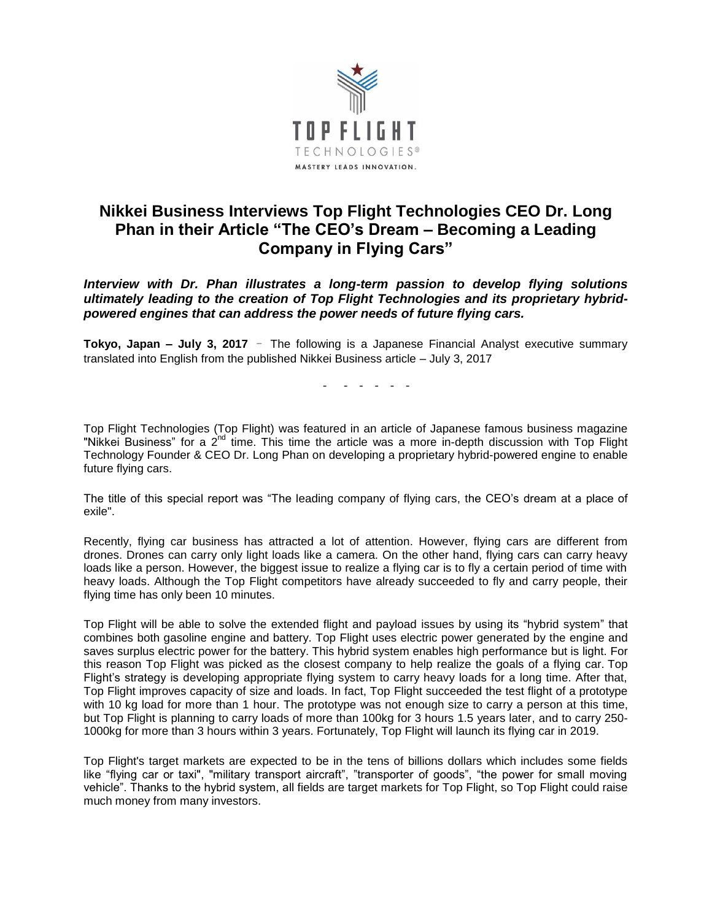

## **Nikkei Business Interviews Top Flight Technologies CEO Dr. Long Phan in their Article "The CEO's Dream – Becoming a Leading Company in Flying Cars"**

*Interview with Dr. Phan illustrates a long-term passion to develop flying solutions ultimately leading to the creation of Top Flight Technologies and its proprietary hybridpowered engines that can address the power needs of future flying cars.*

**Tokyo, Japan – July 3, 2017** - The following is a Japanese Financial Analyst executive summary translated into English from the published Nikkei Business article – July 3, 2017

- - - - - -

Top Flight Technologies (Top Flight) was featured in an article of Japanese famous business magazine "Nikkei Business" for a 2<sup>nd</sup> time. This time the article was a more in-depth discussion with Top Flight Technology Founder & CEO Dr. Long Phan on developing a proprietary hybrid-powered engine to enable future flying cars.

The title of this special report was "The leading company of flying cars, the CEO's dream at a place of exile".

Recently, flying car business has attracted a lot of attention. However, flying cars are different from drones. Drones can carry only light loads like a camera. On the other hand, flying cars can carry heavy loads like a person. However, the biggest issue to realize a flying car is to fly a certain period of time with heavy loads. Although the Top Flight competitors have already succeeded to fly and carry people, their flying time has only been 10 minutes.

Top Flight will be able to solve the extended flight and payload issues by using its "hybrid system" that combines both gasoline engine and battery. Top Flight uses electric power generated by the engine and saves surplus electric power for the battery. This hybrid system enables high performance but is light. For this reason Top Flight was picked as the closest company to help realize the goals of a flying car. Top Flight's strategy is developing appropriate flying system to carry heavy loads for a long time. After that, Top Flight improves capacity of size and loads. In fact, Top Flight succeeded the test flight of a prototype with 10 kg load for more than 1 hour. The prototype was not enough size to carry a person at this time, but Top Flight is planning to carry loads of more than 100kg for 3 hours 1.5 years later, and to carry 250- 1000kg for more than 3 hours within 3 years. Fortunately, Top Flight will launch its flying car in 2019.

Top Flight's target markets are expected to be in the tens of billions dollars which includes some fields like "flying car or taxi", "military transport aircraft", "transporter of goods", "the power for small moving vehicle". Thanks to the hybrid system, all fields are target markets for Top Flight, so Top Flight could raise much money from many investors.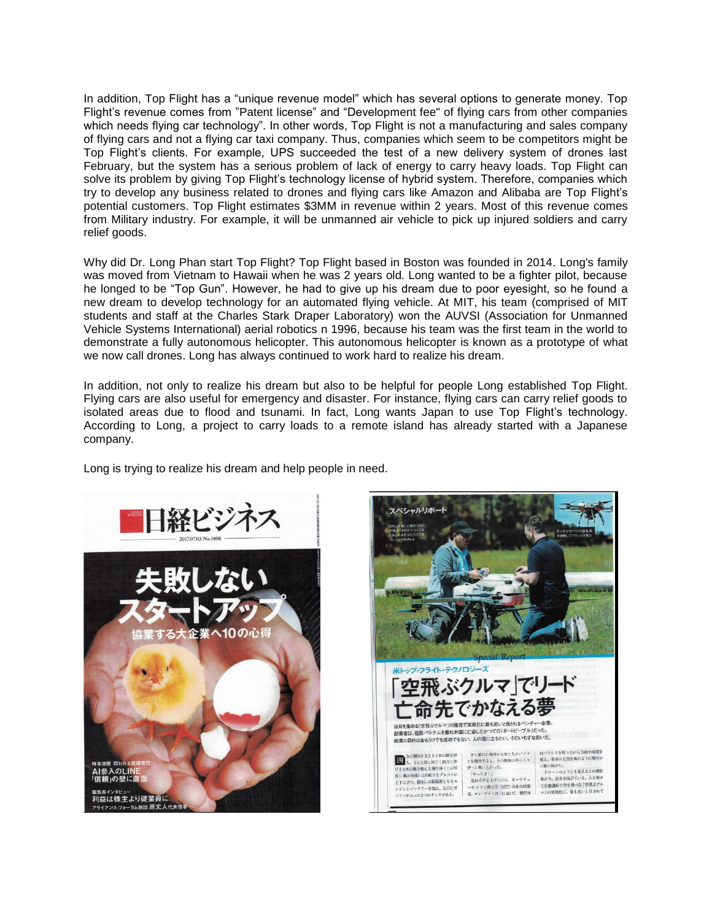In addition, Top Flight has a "unique revenue model" which has several options to generate money. Top Flight's revenue comes from "Patent license" and "Development fee" of flying cars from other companies which needs flying car technology". In other words, Top Flight is not a manufacturing and sales company of flying cars and not a flying car taxi company. Thus, companies which seem to be competitors might be Top Flight's clients. For example, UPS succeeded the test of a new delivery system of drones last February, but the system has a serious problem of lack of energy to carry heavy loads. Top Flight can solve its problem by giving Top Flight's technology license of hybrid system. Therefore, companies which try to develop any business related to drones and flying cars like Amazon and Alibaba are Top Flight's potential customers. Top Flight estimates \$3MM in revenue within 2 years. Most of this revenue comes from Military industry. For example, it will be unmanned air vehicle to pick up injured soldiers and carry relief goods.

Why did Dr. Long Phan start Top Flight? Top Flight based in Boston was founded in 2014. Long's family was moved from Vietnam to Hawaii when he was 2 years old. Long wanted to be a fighter pilot, because he longed to be "Top Gun". However, he had to give up his dream due to poor eyesight, so he found a new dream to develop technology for an automated flying vehicle. At MIT, his team (comprised of MIT students and staff at the Charles Stark Draper Laboratory) won the AUVSI (Association for Unmanned Vehicle Systems International) aerial robotics n 1996, because his team was the first team in the world to demonstrate a fully autonomous helicopter. This autonomous helicopter is known as a prototype of what we now call drones. Long has always continued to work hard to realize his dream.

In addition, not only to realize his dream but also to be helpful for people Long established Top Flight. Flying cars are also useful for emergency and disaster. For instance, flying cars can carry relief goods to isolated areas due to flood and tsunami. In fact, Long wants Japan to use Top Flight's technology. According to Long, a project to carry loads to a remote island has already started with a Japanese company.

Long is trying to realize his dream and help people in need.